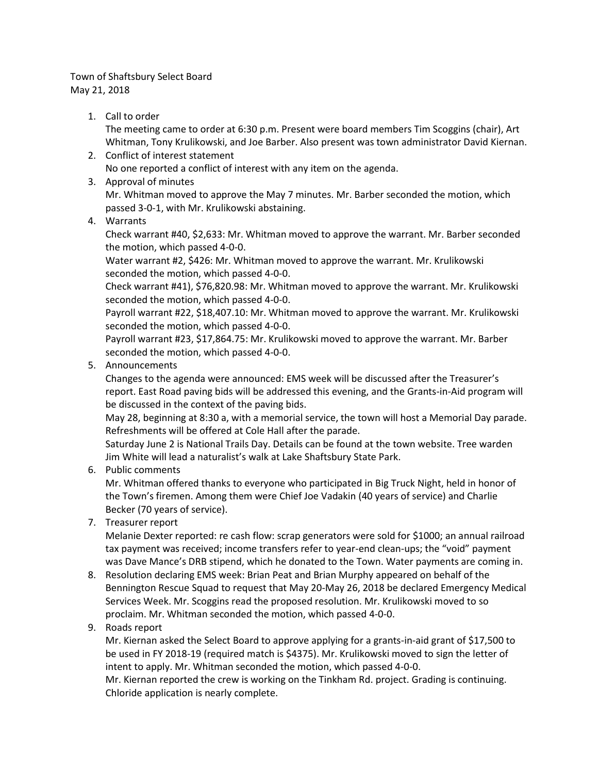## Town of Shaftsbury Select Board May 21, 2018

1. Call to order

The meeting came to order at 6:30 p.m. Present were board members Tim Scoggins (chair), Art Whitman, Tony Krulikowski, and Joe Barber. Also present was town administrator David Kiernan.

- 2. Conflict of interest statement No one reported a conflict of interest with any item on the agenda.
- 3. Approval of minutes

Mr. Whitman moved to approve the May 7 minutes. Mr. Barber seconded the motion, which passed 3-0-1, with Mr. Krulikowski abstaining.

4. Warrants

Check warrant #40, \$2,633: Mr. Whitman moved to approve the warrant. Mr. Barber seconded the motion, which passed 4-0-0.

Water warrant #2, \$426: Mr. Whitman moved to approve the warrant. Mr. Krulikowski seconded the motion, which passed 4-0-0.

Check warrant #41), \$76,820.98: Mr. Whitman moved to approve the warrant. Mr. Krulikowski seconded the motion, which passed 4-0-0.

Payroll warrant #22, \$18,407.10: Mr. Whitman moved to approve the warrant. Mr. Krulikowski seconded the motion, which passed 4-0-0.

Payroll warrant #23, \$17,864.75: Mr. Krulikowski moved to approve the warrant. Mr. Barber seconded the motion, which passed 4-0-0.

5. Announcements

Changes to the agenda were announced: EMS week will be discussed after the Treasurer's report. East Road paving bids will be addressed this evening, and the Grants-in-Aid program will be discussed in the context of the paving bids.

May 28, beginning at 8:30 a, with a memorial service, the town will host a Memorial Day parade. Refreshments will be offered at Cole Hall after the parade.

Saturday June 2 is National Trails Day. Details can be found at the town website. Tree warden Jim White will lead a naturalist's walk at Lake Shaftsbury State Park.

6. Public comments

Mr. Whitman offered thanks to everyone who participated in Big Truck Night, held in honor of the Town's firemen. Among them were Chief Joe Vadakin (40 years of service) and Charlie Becker (70 years of service).

7. Treasurer report

Melanie Dexter reported: re cash flow: scrap generators were sold for \$1000; an annual railroad tax payment was received; income transfers refer to year-end clean-ups; the "void" payment was Dave Mance's DRB stipend, which he donated to the Town. Water payments are coming in.

- 8. Resolution declaring EMS week: Brian Peat and Brian Murphy appeared on behalf of the Bennington Rescue Squad to request that May 20-May 26, 2018 be declared Emergency Medical Services Week. Mr. Scoggins read the proposed resolution. Mr. Krulikowski moved to so proclaim. Mr. Whitman seconded the motion, which passed 4-0-0.
- 9. Roads report

Mr. Kiernan asked the Select Board to approve applying for a grants-in-aid grant of \$17,500 to be used in FY 2018-19 (required match is \$4375). Mr. Krulikowski moved to sign the letter of intent to apply. Mr. Whitman seconded the motion, which passed 4-0-0.

Mr. Kiernan reported the crew is working on the Tinkham Rd. project. Grading is continuing. Chloride application is nearly complete.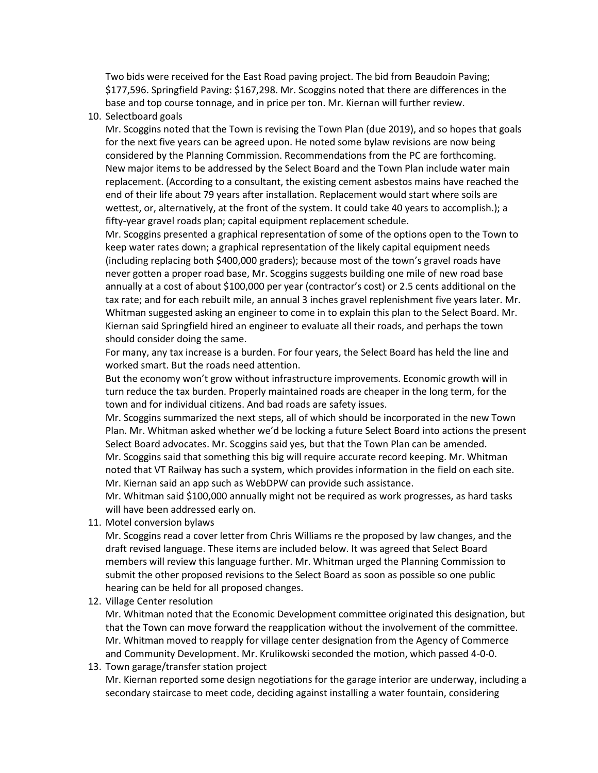Two bids were received for the East Road paving project. The bid from Beaudoin Paving; \$177,596. Springfield Paving: \$167,298. Mr. Scoggins noted that there are differences in the base and top course tonnage, and in price per ton. Mr. Kiernan will further review.

10. Selectboard goals

Mr. Scoggins noted that the Town is revising the Town Plan (due 2019), and so hopes that goals for the next five years can be agreed upon. He noted some bylaw revisions are now being considered by the Planning Commission. Recommendations from the PC are forthcoming. New major items to be addressed by the Select Board and the Town Plan include water main replacement. (According to a consultant, the existing cement asbestos mains have reached the end of their life about 79 years after installation. Replacement would start where soils are wettest, or, alternatively, at the front of the system. It could take 40 years to accomplish.); a fifty-year gravel roads plan; capital equipment replacement schedule.

Mr. Scoggins presented a graphical representation of some of the options open to the Town to keep water rates down; a graphical representation of the likely capital equipment needs (including replacing both \$400,000 graders); because most of the town's gravel roads have never gotten a proper road base, Mr. Scoggins suggests building one mile of new road base annually at a cost of about \$100,000 per year (contractor's cost) or 2.5 cents additional on the tax rate; and for each rebuilt mile, an annual 3 inches gravel replenishment five years later. Mr. Whitman suggested asking an engineer to come in to explain this plan to the Select Board. Mr. Kiernan said Springfield hired an engineer to evaluate all their roads, and perhaps the town should consider doing the same.

For many, any tax increase is a burden. For four years, the Select Board has held the line and worked smart. But the roads need attention.

But the economy won't grow without infrastructure improvements. Economic growth will in turn reduce the tax burden. Properly maintained roads are cheaper in the long term, for the town and for individual citizens. And bad roads are safety issues.

Mr. Scoggins summarized the next steps, all of which should be incorporated in the new Town Plan. Mr. Whitman asked whether we'd be locking a future Select Board into actions the present Select Board advocates. Mr. Scoggins said yes, but that the Town Plan can be amended. Mr. Scoggins said that something this big will require accurate record keeping. Mr. Whitman noted that VT Railway has such a system, which provides information in the field on each site. Mr. Kiernan said an app such as WebDPW can provide such assistance.

Mr. Whitman said \$100,000 annually might not be required as work progresses, as hard tasks will have been addressed early on.

11. Motel conversion bylaws

Mr. Scoggins read a cover letter from Chris Williams re the proposed by law changes, and the draft revised language. These items are included below. It was agreed that Select Board members will review this language further. Mr. Whitman urged the Planning Commission to submit the other proposed revisions to the Select Board as soon as possible so one public hearing can be held for all proposed changes.

12. Village Center resolution

Mr. Whitman noted that the Economic Development committee originated this designation, but that the Town can move forward the reapplication without the involvement of the committee. Mr. Whitman moved to reapply for village center designation from the Agency of Commerce and Community Development. Mr. Krulikowski seconded the motion, which passed 4-0-0.

13. Town garage/transfer station project

Mr. Kiernan reported some design negotiations for the garage interior are underway, including a secondary staircase to meet code, deciding against installing a water fountain, considering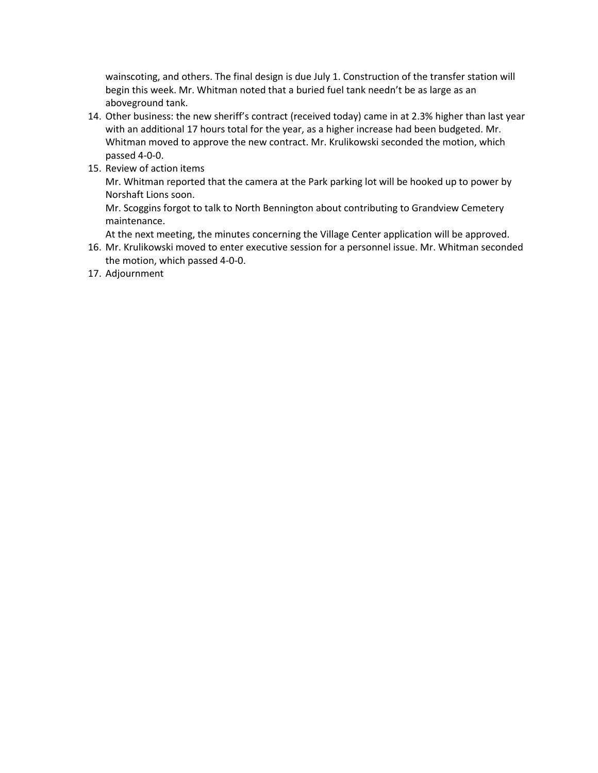wainscoting, and others. The final design is due July 1. Construction of the transfer station will begin this week. Mr. Whitman noted that a buried fuel tank needn't be as large as an aboveground tank.

- 14. Other business: the new sheriff's contract (received today) came in at 2.3% higher than last year with an additional 17 hours total for the year, as a higher increase had been budgeted. Mr. Whitman moved to approve the new contract. Mr. Krulikowski seconded the motion, which passed 4-0-0.
- 15. Review of action items

Mr. Whitman reported that the camera at the Park parking lot will be hooked up to power by Norshaft Lions soon.

Mr. Scoggins forgot to talk to North Bennington about contributing to Grandview Cemetery maintenance.

At the next meeting, the minutes concerning the Village Center application will be approved.

- 16. Mr. Krulikowski moved to enter executive session for a personnel issue. Mr. Whitman seconded the motion, which passed 4-0-0.
- 17. Adjournment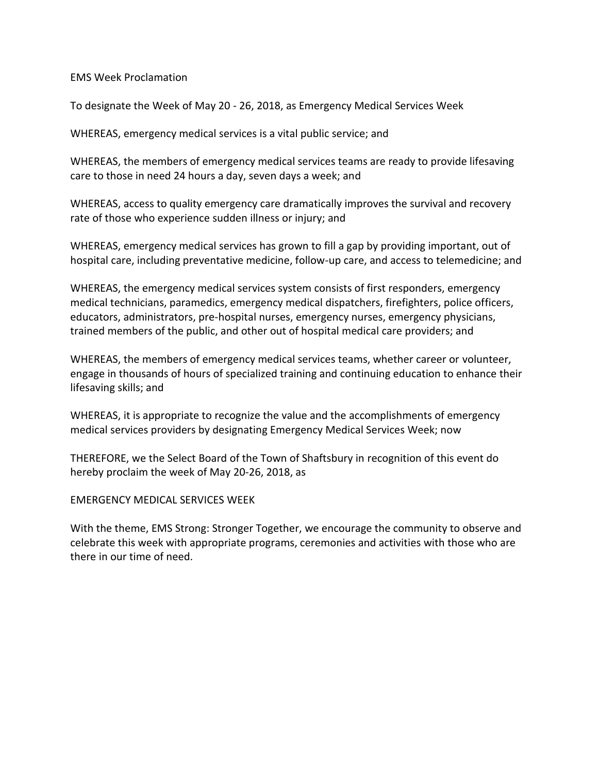EMS Week Proclamation

To designate the Week of May 20 - 26, 2018, as Emergency Medical Services Week

WHEREAS, emergency medical services is a vital public service; and

WHEREAS, the members of emergency medical services teams are ready to provide lifesaving care to those in need 24 hours a day, seven days a week; and

WHEREAS, access to quality emergency care dramatically improves the survival and recovery rate of those who experience sudden illness or injury; and

WHEREAS, emergency medical services has grown to fill a gap by providing important, out of hospital care, including preventative medicine, follow-up care, and access to telemedicine; and

WHEREAS, the emergency medical services system consists of first responders, emergency medical technicians, paramedics, emergency medical dispatchers, firefighters, police officers, educators, administrators, pre-hospital nurses, emergency nurses, emergency physicians, trained members of the public, and other out of hospital medical care providers; and

WHEREAS, the members of emergency medical services teams, whether career or volunteer, engage in thousands of hours of specialized training and continuing education to enhance their lifesaving skills; and

WHEREAS, it is appropriate to recognize the value and the accomplishments of emergency medical services providers by designating Emergency Medical Services Week; now

THEREFORE, we the Select Board of the Town of Shaftsbury in recognition of this event do hereby proclaim the week of May 20-26, 2018, as

EMERGENCY MEDICAL SERVICES WEEK

With the theme, EMS Strong: Stronger Together, we encourage the community to observe and celebrate this week with appropriate programs, ceremonies and activities with those who are there in our time of need.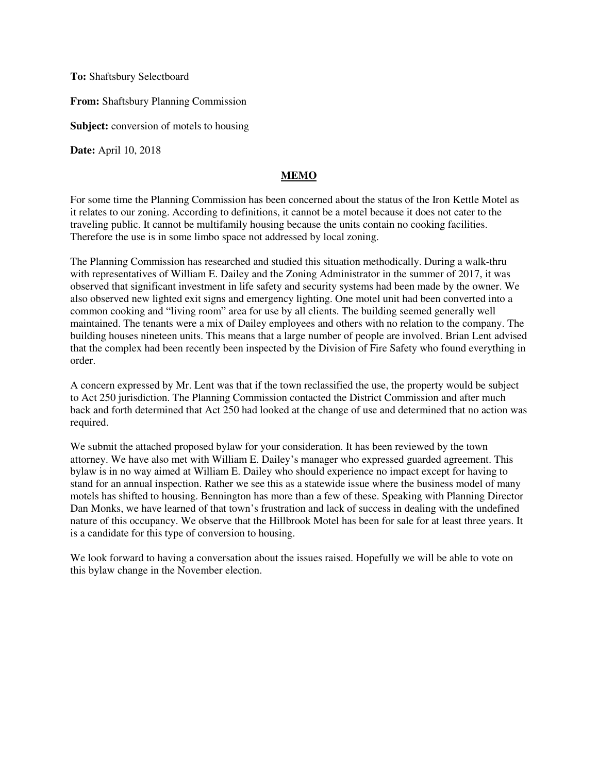**To:** Shaftsbury Selectboard

**From:** Shaftsbury Planning Commission

**Subject:** conversion of motels to housing

**Date:** April 10, 2018

## **MEMO**

For some time the Planning Commission has been concerned about the status of the Iron Kettle Motel as it relates to our zoning. According to definitions, it cannot be a motel because it does not cater to the traveling public. It cannot be multifamily housing because the units contain no cooking facilities. Therefore the use is in some limbo space not addressed by local zoning.

The Planning Commission has researched and studied this situation methodically. During a walk-thru with representatives of William E. Dailey and the Zoning Administrator in the summer of 2017, it was observed that significant investment in life safety and security systems had been made by the owner. We also observed new lighted exit signs and emergency lighting. One motel unit had been converted into a common cooking and "living room" area for use by all clients. The building seemed generally well maintained. The tenants were a mix of Dailey employees and others with no relation to the company. The building houses nineteen units. This means that a large number of people are involved. Brian Lent advised that the complex had been recently been inspected by the Division of Fire Safety who found everything in order.

A concern expressed by Mr. Lent was that if the town reclassified the use, the property would be subject to Act 250 jurisdiction. The Planning Commission contacted the District Commission and after much back and forth determined that Act 250 had looked at the change of use and determined that no action was required.

We submit the attached proposed bylaw for your consideration. It has been reviewed by the town attorney. We have also met with William E. Dailey's manager who expressed guarded agreement. This bylaw is in no way aimed at William E. Dailey who should experience no impact except for having to stand for an annual inspection. Rather we see this as a statewide issue where the business model of many motels has shifted to housing. Bennington has more than a few of these. Speaking with Planning Director Dan Monks, we have learned of that town's frustration and lack of success in dealing with the undefined nature of this occupancy. We observe that the Hillbrook Motel has been for sale for at least three years. It is a candidate for this type of conversion to housing.

We look forward to having a conversation about the issues raised. Hopefully we will be able to vote on this bylaw change in the November election.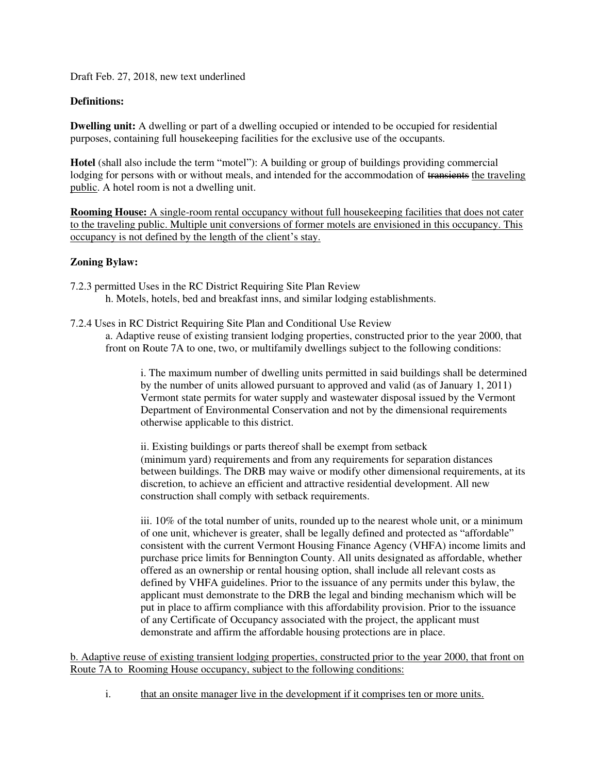Draft Feb. 27, 2018, new text underlined

## **Definitions:**

**Dwelling unit:** A dwelling or part of a dwelling occupied or intended to be occupied for residential purposes, containing full housekeeping facilities for the exclusive use of the occupants.

**Hotel** (shall also include the term "motel"): A building or group of buildings providing commercial lodging for persons with or without meals, and intended for the accommodation of transients the traveling public. A hotel room is not a dwelling unit.

**Rooming House:** A single-room rental occupancy without full house keeping facilities that does not cater to the traveling public. Multiple unit conversions of former motels are envisioned in this occupancy. This occupancy is not defined by the length of the client's stay.

## **Zoning Bylaw:**

- 7.2.3 permitted Uses in the RC District Requiring Site Plan Review h. Motels, hotels, bed and breakfast inns, and similar lodging establishments.
- 7.2.4 Uses in RC District Requiring Site Plan and Conditional Use Review a. Adaptive reuse of existing transient lodging properties, constructed prior to the year 2000, that front on Route 7A to one, two, or multifamily dwellings subject to the following conditions:

i. The maximum number of dwelling units permitted in said buildings shall be determined by the number of units allowed pursuant to approved and valid (as of January 1, 2011) Vermont state permits for water supply and wastewater disposal issued by the Vermont Department of Environmental Conservation and not by the dimensional requirements otherwise applicable to this district.

ii. Existing buildings or parts thereof shall be exempt from setback (minimum yard) requirements and from any requirements for separation distances between buildings. The DRB may waive or modify other dimensional requirements, at its discretion, to achieve an efficient and attractive residential development. All new construction shall comply with setback requirements.

iii. 10% of the total number of units, rounded up to the nearest whole unit, or a minimum of one unit, whichever is greater, shall be legally defined and protected as "affordable" consistent with the current Vermont Housing Finance Agency (VHFA) income limits and purchase price limits for Bennington County. All units designated as affordable, whether offered as an ownership or rental housing option, shall include all relevant costs as defined by VHFA guidelines. Prior to the issuance of any permits under this bylaw, the applicant must demonstrate to the DRB the legal and binding mechanism which will be put in place to affirm compliance with this affordability provision. Prior to the issuance of any Certificate of Occupancy associated with the project, the applicant must demonstrate and affirm the affordable housing protections are in place.

b. Adaptive reuse of existing transient lodging properties, constructed prior to the year 2000, that front on Route 7A to Rooming House occupancy, subject to the following conditions:

i. that an onsite manager live in the development if it comprises ten or more units.